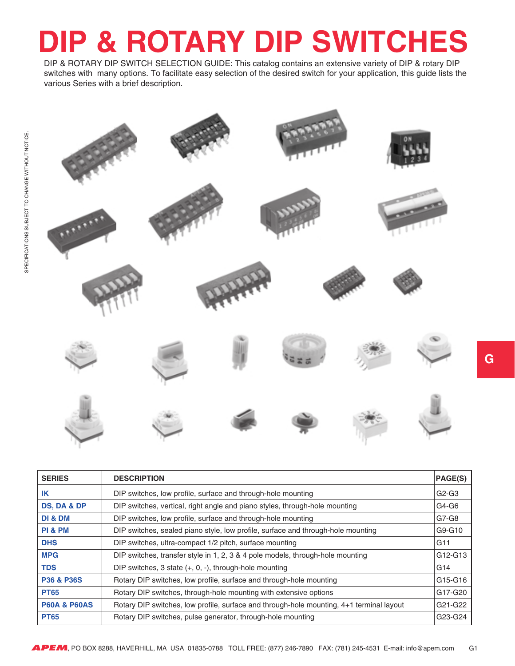## **DIP & ROTARY DIP SWITCH**

 DIP & ROTARY DIP SWITCH SELECTION GUIDE: This catalog contains an extensive variety of DIP & rotary DIP switches with many options. To facilitate easy selection of the desired switch for your application, this guide lists the various Series with a brief description.



| <b>SERIES</b>           | <b>DESCRIPTION</b>                                                                       | <b>PAGE(S)</b>                   |
|-------------------------|------------------------------------------------------------------------------------------|----------------------------------|
| IK                      | DIP switches, low profile, surface and through-hole mounting                             | $G2-G3$                          |
| <b>DS, DA &amp; DP</b>  | DIP switches, vertical, right angle and piano styles, through-hole mounting              | G4-G6                            |
| <b>DI &amp; DM</b>      | DIP switches, low profile, surface and through-hole mounting                             | G7-G8                            |
| PI & PM                 | DIP switches, sealed piano style, low profile, surface and through-hole mounting         | G9-G10                           |
| <b>DHS</b>              | DIP switches, ultra-compact 1/2 pitch, surface mounting                                  | G11                              |
| <b>MPG</b>              | DIP switches, transfer style in 1, 2, 3 & 4 pole models, through-hole mounting           | G12-G13                          |
| <b>TDS</b>              | DIP switches, 3 state $(+, 0, -)$ , through-hole mounting                                | G <sub>14</sub>                  |
| <b>P36 &amp; P36S</b>   | Rotary DIP switches, low profile, surface and through-hole mounting                      | G15-G16                          |
| <b>PT65</b>             | Rotary DIP switches, through-hole mounting with extensive options                        | G17-G20                          |
| <b>P60A &amp; P60AS</b> | Rotary DIP switches, low profile, surface and through-hole mounting, 4+1 terminal layout | G <sub>21</sub> -G <sub>22</sub> |
| <b>PT65</b>             | Rotary DIP switches, pulse generator, through-hole mounting                              | G23-G24                          |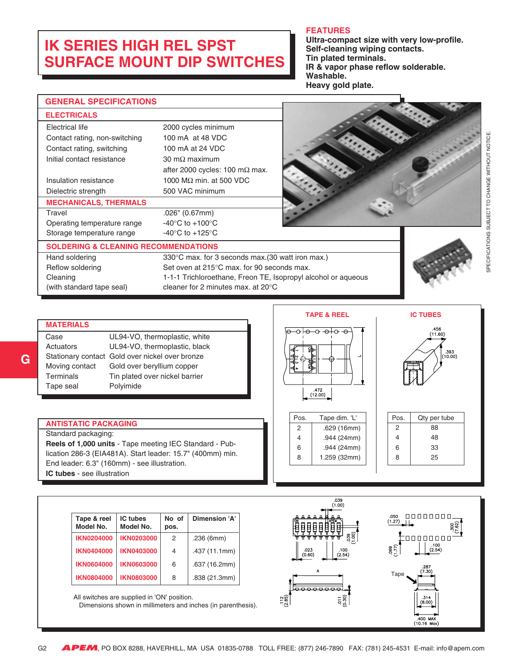## <span id="page-1-0"></span>**IK SERIES HIGH REL SPST SURFACE MOUNT DIP SWITCHES**

#### **FEATURES**

**Ultra-compact size with very low-profile. Self-cleaning wiping contacts. Tin plated terminals. IR & vapor phase reflow solderable. Washable. Heavy gold plate.**

|                                                                                                                                                                                                                                                                                                                                                                                                                                                                                                                                                                              |                              |                                                       |                                                   |         | Heavy gold plate.                                             |                              |
|------------------------------------------------------------------------------------------------------------------------------------------------------------------------------------------------------------------------------------------------------------------------------------------------------------------------------------------------------------------------------------------------------------------------------------------------------------------------------------------------------------------------------------------------------------------------------|------------------------------|-------------------------------------------------------|---------------------------------------------------|---------|---------------------------------------------------------------|------------------------------|
| <b>GENERAL SPECIFICATIONS</b>                                                                                                                                                                                                                                                                                                                                                                                                                                                                                                                                                |                              |                                                       |                                                   |         |                                                               |                              |
| <b>ELECTRICALS</b>                                                                                                                                                                                                                                                                                                                                                                                                                                                                                                                                                           |                              |                                                       |                                                   |         |                                                               |                              |
| <b>Electrical life</b>                                                                                                                                                                                                                                                                                                                                                                                                                                                                                                                                                       |                              |                                                       | 2000 cycles minimum                               |         |                                                               |                              |
| Contact rating, non-switching                                                                                                                                                                                                                                                                                                                                                                                                                                                                                                                                                |                              |                                                       | 100 mA at 48 VDC                                  |         |                                                               |                              |
| Contact rating, switching                                                                                                                                                                                                                                                                                                                                                                                                                                                                                                                                                    |                              |                                                       | 100 mA at 24 VDC                                  |         |                                                               |                              |
| Initial contact resistance                                                                                                                                                                                                                                                                                                                                                                                                                                                                                                                                                   |                              | 30 m $\Omega$ maximum                                 |                                                   |         |                                                               |                              |
|                                                                                                                                                                                                                                                                                                                                                                                                                                                                                                                                                                              |                              |                                                       | after 2000 cycles: 100 m $\Omega$ max.            |         |                                                               |                              |
| Insulation resistance                                                                                                                                                                                                                                                                                                                                                                                                                                                                                                                                                        |                              |                                                       | 1000 M $\Omega$ min. at 500 VDC                   |         |                                                               |                              |
| Dielectric strength                                                                                                                                                                                                                                                                                                                                                                                                                                                                                                                                                          |                              |                                                       | 500 VAC minimum                                   |         |                                                               |                              |
| <b>MECHANICALS, THERMALS</b>                                                                                                                                                                                                                                                                                                                                                                                                                                                                                                                                                 |                              |                                                       |                                                   |         |                                                               |                              |
| Travel                                                                                                                                                                                                                                                                                                                                                                                                                                                                                                                                                                       |                              | $.026$ " (0.67mm)                                     |                                                   |         |                                                               |                              |
| Operating temperature range                                                                                                                                                                                                                                                                                                                                                                                                                                                                                                                                                  |                              | -40 $\mathrm{^{\circ}C}$ to +100 $\mathrm{^{\circ}C}$ |                                                   |         |                                                               |                              |
| Storage temperature range                                                                                                                                                                                                                                                                                                                                                                                                                                                                                                                                                    |                              | -40 $\mathrm{^{\circ}C}$ to +125 $\mathrm{^{\circ}C}$ |                                                   |         |                                                               |                              |
| <b>SOLDERING &amp; CLEANING RECOMMENDATIONS</b>                                                                                                                                                                                                                                                                                                                                                                                                                                                                                                                              |                              |                                                       |                                                   |         |                                                               |                              |
| Hand soldering                                                                                                                                                                                                                                                                                                                                                                                                                                                                                                                                                               |                              |                                                       | 330°C max. for 3 seconds max. (30 watt iron max.) |         |                                                               |                              |
| Reflow soldering                                                                                                                                                                                                                                                                                                                                                                                                                                                                                                                                                             |                              |                                                       | Set oven at 215°C max. for 90 seconds max.        |         |                                                               |                              |
| Cleaning                                                                                                                                                                                                                                                                                                                                                                                                                                                                                                                                                                     |                              |                                                       |                                                   |         | 1-1-1 Trichloroethane, Freon TE, Isopropyl alcohol or aqueous |                              |
| (with standard tape seal)                                                                                                                                                                                                                                                                                                                                                                                                                                                                                                                                                    |                              |                                                       | cleaner for 2 minutes max. at 20°C                |         |                                                               |                              |
| <b>IC TUBES</b><br><b>TAPE &amp; REEL</b><br><b>MATERIALS</b><br>.456<br>-о <del>I о о о I</del> о -о<br>(11.60)<br>UL94-VO, thermoplastic, white<br>Case<br>UL94-VO, thermoplastic, black<br>Actuators<br>.393<br>(10.00)<br>Stationary contact Gold over nickel over bronze<br>Moving contact<br>Gold over beryllium copper<br>Terminals<br>Tin plated over nickel barrier<br>Polyimide<br>Tape seal<br>.472<br>(12.00)<br>Pos.<br>Tape dim. 'L'<br>Pos.<br>Qty per tube<br><b>ANTISTATIC PACKAGING</b><br>.629 (16mm)<br>$\overline{2}$<br>88<br>2<br>Standard packaging: |                              |                                                       |                                                   |         |                                                               |                              |
| Reels of 1,000 units - Tape meeting IEC Standard - Pub-                                                                                                                                                                                                                                                                                                                                                                                                                                                                                                                      |                              |                                                       | .944 (24mm)<br>4                                  | 48<br>4 |                                                               |                              |
| .944 (24mm)<br>33<br>6<br>6<br>lication 286-3 (EIA481A). Start leader: 15.7" (400mm) min.<br>8<br>25<br>1.259 (32mm)                                                                                                                                                                                                                                                                                                                                                                                                                                                         |                              |                                                       |                                                   |         |                                                               |                              |
| End leader: 6.3" (160mm) - see illustration.                                                                                                                                                                                                                                                                                                                                                                                                                                                                                                                                 |                              |                                                       |                                                   |         |                                                               |                              |
| IC tubes - see illustration                                                                                                                                                                                                                                                                                                                                                                                                                                                                                                                                                  |                              |                                                       |                                                   |         |                                                               |                              |
|                                                                                                                                                                                                                                                                                                                                                                                                                                                                                                                                                                              |                              |                                                       |                                                   |         |                                                               |                              |
|                                                                                                                                                                                                                                                                                                                                                                                                                                                                                                                                                                              |                              |                                                       |                                                   |         | .039<br>(1.00)                                                |                              |
| Tape & reel<br>Model No.                                                                                                                                                                                                                                                                                                                                                                                                                                                                                                                                                     | <b>IC tubes</b><br>Model No. | No of<br>pos.                                         | <b>Dimension 'A'</b>                              |         |                                                               | 00000000<br>.050<br>$(1.27)$ |
| <b>IKN0204000</b>                                                                                                                                                                                                                                                                                                                                                                                                                                                                                                                                                            | <b>IKN0203000</b>            | 2                                                     | .236 (6mm)                                        |         |                                                               | 00000000                     |
| <b>IKN0404000</b>                                                                                                                                                                                                                                                                                                                                                                                                                                                                                                                                                            | <b>IKN0403000</b>            | 4                                                     | .437 (11.1mm)                                     |         | 023<br>$100$<br>$(2.54)$                                      | (2.54)<br>069<br>177)        |

|  | IKN0604000   IKN0603000 | 6 | .637 (16.2mm) |  |  |
|--|-------------------------|---|---------------|--|--|
|  | IKN0804000   IKN0803000 | 8 | .838(21.3mm)  |  |  |
|  |                         |   |               |  |  |

 All switches are supplied in 'ON' position. Dimensions shown in millimeters and inches (in parenthesis).





.400 MAX<br>(10.16 Max)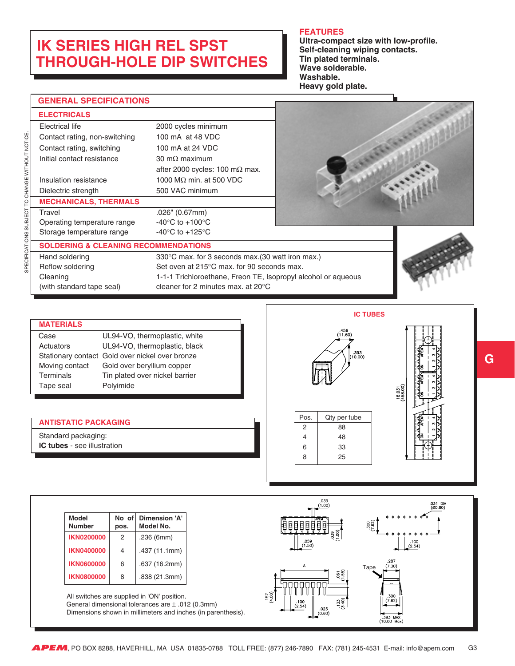## **IK SERIES HIGH REL SPST THROUGH-HOLE DIP SWITCHES**

#### **FEATURES**

**Ultra-compact size with low-profile. Self-cleaning wiping contacts. Tin plated terminals. Wave solderable. Washable. Heavy gold plate.**

| <b>GENERAL SPECIFICATIONS</b>                   |                                                               |  |
|-------------------------------------------------|---------------------------------------------------------------|--|
| <b>ELECTRICALS</b>                              |                                                               |  |
| Electrical life                                 | 2000 cycles minimum                                           |  |
| Contact rating, non-switching                   | 100 mA at 48 VDC                                              |  |
| Contact rating, switching                       | 100 mA at 24 VDC                                              |  |
| Initial contact resistance                      | 30 m $\Omega$ maximum                                         |  |
|                                                 | after 2000 cycles: 100 m $\Omega$ max.                        |  |
| Insulation resistance                           | 1000 M $\Omega$ min. at 500 VDC                               |  |
| Dielectric strength                             | 500 VAC minimum                                               |  |
| <b>MECHANICALS, THERMALS</b>                    |                                                               |  |
| Travel                                          | .026" (0.67mm)                                                |  |
| Operating temperature range                     | -40 $\degree$ C to +100 $\degree$ C                           |  |
| Storage temperature range                       | -40 $^{\circ}$ C to +125 $^{\circ}$ C                         |  |
| <b>SOLDERING &amp; CLEANING RECOMMENDATIONS</b> |                                                               |  |
| Hand soldering                                  | 330°C max. for 3 seconds max. (30 watt iron max.)             |  |
| Reflow soldering                                | Set oven at 215°C max, for 90 seconds max.                    |  |
| Cleaning                                        | 1-1-1 Trichloroethane, Freon TE, Isopropyl alcohol or aqueous |  |
| (with standard tape seal)                       | cleaner for 2 minutes max. at $20^{\circ}$ C                  |  |

| <b>MATERIALS</b> |                                                 |
|------------------|-------------------------------------------------|
| Case             | UL94-VO, thermoplastic, white                   |
| Actuators        | UL94-VO, thermoplastic, black                   |
|                  | Stationary contact Gold over nickel over bronze |
| Moving contact   | Gold over beryllium copper                      |
| Terminals        | Tin plated over nickel barrier                  |
| Tape seal        | Polyimide                                       |
|                  |                                                 |

#### **ANTISTATIC PACKAGING**

Standard packaging: **IC tubes** - see illustration



Pos. Qty per tube 2 88 4 48 6 33 8 25

| (458.00)<br>18.031 | ı |  |
|--------------------|---|--|
|                    |   |  |

| <b>Model</b><br><b>Number</b> | No of<br>pos. | Dimension 'A'<br>Model No. |
|-------------------------------|---------------|----------------------------|
| <b>IKN0200000</b>             | 2             | .236 (6mm)                 |
| <b>IKN0400000</b>             | 4             | .437 (11.1mm)              |
| <b>IKN0600000</b>             | 6             | .637 (16.2mm)              |
| <b>IKN0800000</b>             | 8             | .838 (21.3mm)              |

All switches are supplied in 'ON' position.

 General dimensional tolerances are ± .012 (0.3mm) Dimensions shown in millimeters and inches (in parenthesis).

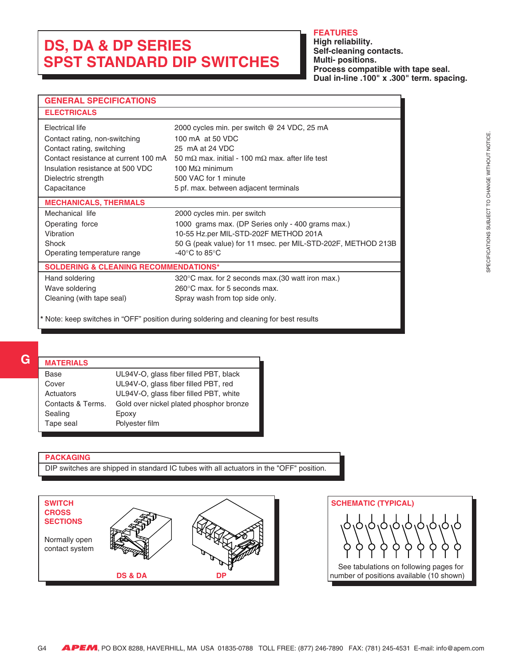## <span id="page-3-0"></span>**DS, DA & DP SERIES SPST STANDARD DIP SWITCHES**

#### **FEATURES**

**High reliability. Self-cleaning contacts. Multi- positions. Process compatible with tape seal. Dual in-line .100" x .300" term. spacing.**

| <b>GENERAL SPECIFICATIONS</b>                    |                                                                                        |  |
|--------------------------------------------------|----------------------------------------------------------------------------------------|--|
| <b>ELECTRICALS</b>                               |                                                                                        |  |
| Electrical life                                  | 2000 cycles min. per switch @ 24 VDC, 25 mA                                            |  |
| Contact rating, non-switching                    | 100 mA at 50 VDC                                                                       |  |
| Contact rating, switching                        | 25 mA at 24 VDC                                                                        |  |
| Contact resistance at current 100 mA             | 50 m $\Omega$ max, initial - 100 m $\Omega$ max, after life test                       |  |
| Insulation resistance at 500 VDC                 | 100 $MO$ minimum                                                                       |  |
| Dielectric strength                              | 500 VAC for 1 minute                                                                   |  |
| Capacitance                                      | 5 pf. max. between adjacent terminals                                                  |  |
| <b>MECHANICALS, THERMALS</b>                     |                                                                                        |  |
| Mechanical life                                  | 2000 cycles min. per switch                                                            |  |
| Operating force                                  | 1000 grams max. (DP Series only - 400 grams max.)                                      |  |
| Vibration                                        | 10-55 Hz.per MIL-STD-202F METHOD 201A                                                  |  |
| <b>Shock</b>                                     | 50 G (peak value) for 11 msec. per MIL-STD-202F, METHOD 213B                           |  |
| Operating temperature range                      | -40 $^{\circ}$ C to 85 $^{\circ}$ C                                                    |  |
| <b>SOLDERING &amp; CLEANING RECOMMENDATIONS*</b> |                                                                                        |  |
| Hand soldering                                   | 320°C max. for 2 seconds max. (30 watt iron max.)                                      |  |
| Wave soldering                                   | $260^{\circ}$ C max, for 5 seconds max.                                                |  |
| Cleaning (with tape seal)                        | Spray wash from top side only.                                                         |  |
|                                                  | * Note: keep switches in "OFF" position during soldering and cleaning for best results |  |

#### **MATERIALS**

| <b>WAILDIALS</b>  |                                         |
|-------------------|-----------------------------------------|
| Base              | UL94V-O, glass fiber filled PBT, black  |
| Cover             | UL94V-O, glass fiber filled PBT, red    |
| Actuators         | UL94V-O, glass fiber filled PBT, white  |
| Contacts & Terms. | Gold over nickel plated phosphor bronze |
| Sealing           | Epoxy                                   |
| Tape seal         | Polyester film                          |
|                   |                                         |

#### **PACKAGING**

DIP switches are shipped in standard IC tubes with all actuators in the "OFF" position.



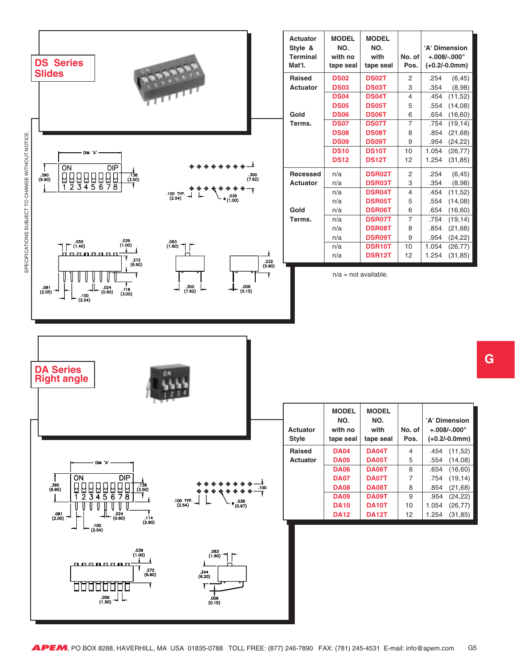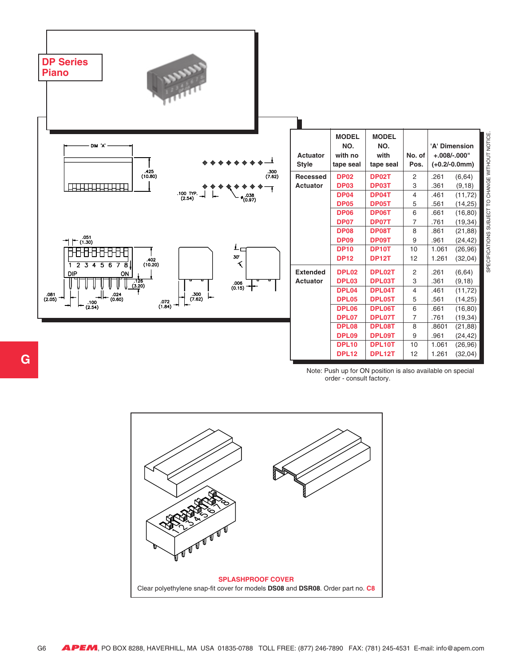| <b>DP Series</b><br><b>ANNAN</b><br><b>Piano</b>                                                                                  |                                    |                                              |                                          |                                               |                                |                                  |
|-----------------------------------------------------------------------------------------------------------------------------------|------------------------------------|----------------------------------------------|------------------------------------------|-----------------------------------------------|--------------------------------|----------------------------------|
| $\textsf{DIM}~\lq\mathsf{A}$                                                                                                      | <b>Actuator</b><br><b>Style</b>    | <b>MODEL</b><br>NO.<br>with no<br>tape seal  | <b>MODEL</b><br>NO.<br>with<br>tape seal | No. of<br>Pos.                                | 'A' Dimension<br>$+.008/-000"$ | $(+0.2/-0.0mm)$                  |
| .425<br>(10.80)<br>$.300$<br>(7.62)<br>.100 TYP.<br>(2.54)<br>.038<br>(0.97)                                                      | <b>Recessed</b><br>Actuator        | <b>DP02</b><br><b>DP03</b><br><b>DP04</b>    | DP02T<br>DP03T<br>DP04T                  | $\mathbf{2}$<br>3<br>$\overline{4}$           | .261<br>.361<br>.461           | (6, 64)<br>(9, 18)<br>(11, 72)   |
|                                                                                                                                   |                                    | <b>DP05</b><br><b>DP06</b><br><b>DP07</b>    | DP05T<br><b>DP06T</b><br>DP07T           | 5<br>$\,6\,$<br>$\overline{7}$                | .561<br>.661<br>.761           | (14, 25)<br>(16, 80)<br>(19, 34) |
| $\leftarrow \frac{.051}{(1.30)}$<br>ᅱ<br>$L_{\square}$                                                                            |                                    | <b>DP08</b><br><b>DP09</b><br><b>DP10</b>    | <b>DP08T</b><br>DP09T<br>DP10T           | 8<br>9<br>10                                  | .861<br>.961<br>1.061          | (21, 88)<br>(24, 42)<br>(26, 96) |
| $30^{\circ}$<br>$,402$<br>(10.20)<br>く<br>2345678<br>$\mathbf{1}$<br><b>DIP</b><br>ON                                             | <b>Extended</b><br><b>Actuator</b> | <b>DP12</b><br>DPL <sub>02</sub><br>DPL03    | <b>DP12T</b><br>DPL02T<br>DPL03T         | 12<br>$\sqrt{2}$<br>$\ensuremath{\mathsf{3}}$ | 1.261<br>.261<br>.361          | (32, 04)<br>(6, 64)<br>(9, 18)   |
| (3.20)<br>$\frac{.006}{(0.15)}$<br>$\frac{.300}{(7.62)}$<br>.081<br>.024<br>(0.60)<br>(2.05)<br>$072$<br>(1.84)<br>.100<br>(2.54) |                                    | DPL04<br><b>DPL05</b>                        | DPL04T<br>DPL05T                         | $\overline{4}$<br>5                           | .461<br>.561                   | (11, 72)<br>(14, 25)             |
|                                                                                                                                   |                                    | <b>DPL06</b><br>DPL07<br><b>DPL08</b>        | DPL06T<br>DPL07T<br>DPL08T               | 6<br>$\overline{7}$<br>$\overline{8}$         | .661<br>.761<br>.8601          | (16, 80)<br>(19, 34)<br>(21, 88) |
|                                                                                                                                   |                                    | <b>DPL09</b><br><b>DPL10</b><br><b>DPL12</b> | DPL09T<br>DPL10T<br>DPL12T               | $\boldsymbol{9}$<br>10<br>12                  | .961<br>1.061<br>1.261         | (24, 42)<br>(26, 96)<br>(32, 04) |

Note: Push up for ON position is also available on special order - consult factory.

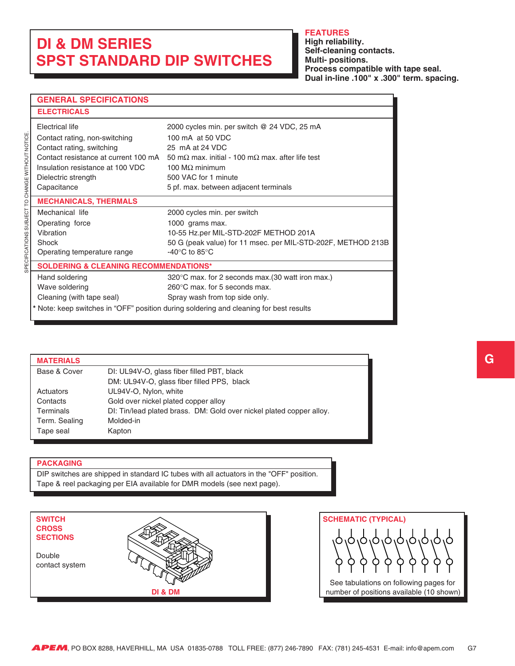## <span id="page-6-0"></span>**DI & DM SERIES SPST STANDARD DIP SWITCHES**

#### **FEATURES**

**High reliability. Self-cleaning contacts. Multi- positions. Process compatible with tape seal. Dual in-line .100" x .300" term. spacing.**

#### **GENERAL SPECIFICATIONS**

| <b>ELECTRICALS</b>                               |                                                                                        |
|--------------------------------------------------|----------------------------------------------------------------------------------------|
| Electrical life<br>Contact rating, non-switching | 2000 cycles min. per switch @ 24 VDC, 25 mA<br>100 mA at 50 VDC                        |
| Contact rating, switching                        | 25 mA at 24 VDC                                                                        |
| Contact resistance at current 100 mA             | 50 m $\Omega$ max, initial - 100 m $\Omega$ max, after life test                       |
| Insulation resistance at 100 VDC                 | 100 M $\Omega$ minimum                                                                 |
| Dielectric strength                              | 500 VAC for 1 minute                                                                   |
| Capacitance                                      | 5 pf. max. between adjacent terminals                                                  |
| <b>MECHANICALS, THERMALS</b>                     |                                                                                        |
| Mechanical life                                  | 2000 cycles min. per switch                                                            |
| Operating force                                  | 1000 grams max.                                                                        |
| Vibration                                        | 10-55 Hz.per MIL-STD-202F METHOD 201A                                                  |
| Shock                                            | 50 G (peak value) for 11 msec. per MIL-STD-202F, METHOD 213B                           |
| Operating temperature range                      | -40 $\mathrm{^{\circ}C}$ to 85 $\mathrm{^{\circ}C}$                                    |
| <b>SOLDERING &amp; CLEANING RECOMMENDATIONS*</b> |                                                                                        |
| Hand soldering                                   | 320°C max. for 2 seconds max. (30 watt iron max.)                                      |
| Wave soldering                                   | $260^{\circ}$ C max, for 5 seconds max.                                                |
| Cleaning (with tape seal)                        | Spray wash from top side only.                                                         |
|                                                  | * Note: keep switches in "OFF" position during soldering and cleaning for best results |

#### **MATERIALS** Base & Cover DI: UL94V-O, glass fiber filled PBT, black DM: UL94V-O, glass fiber filled PPS, black Actuators UL94V-O, Nylon, white Contacts Gold over nickel plated copper alloy Terminals DI: Tin/lead plated brass. DM: Gold over nickel plated copper alloy. Term. Sealing Molded-in Tape seal **Kapton**

#### **PACKAGING**

DIP switches are shipped in standard IC tubes with all actuators in the "OFF" position. Tape & reel packaging per EIA available for DMR models (see next page).



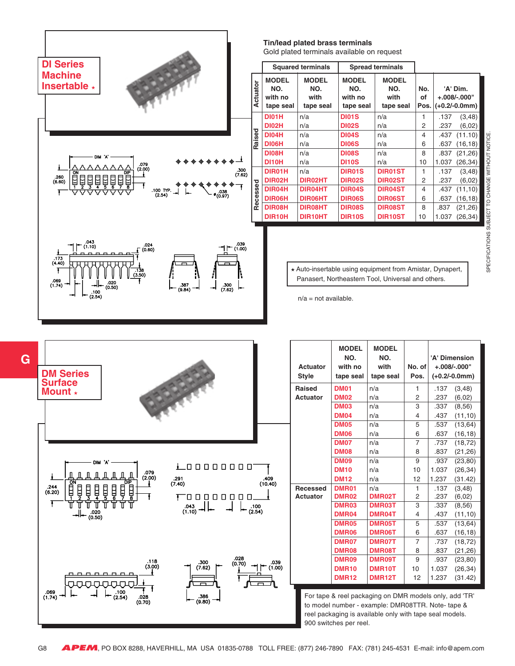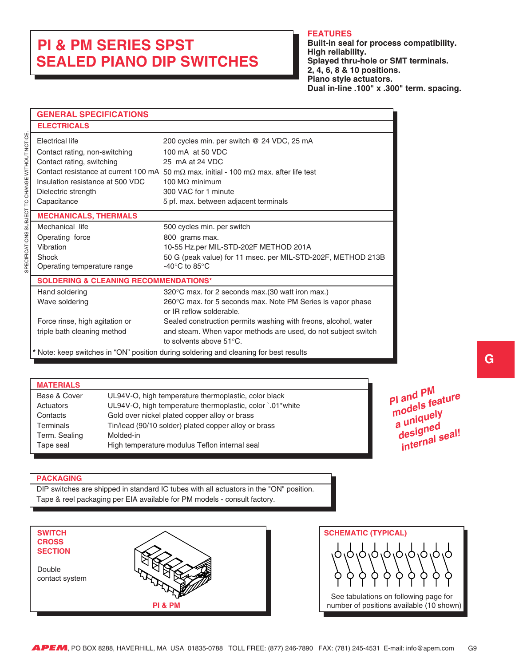## <span id="page-8-0"></span>**PI & PM SERIES SPST SEALED PIANO DIP SWITCHES**

#### **FEATURES**

**Built-in seal for process compatibility. High reliability. Splayed thru-hole or SMT terminals. 2, 4, 6, 8 & 10 positions. Piano style actuators. Dual in-line .100" x .300" term. spacing.**

| <b>GENERAL SPECIFICATIONS</b>                                                                                     |                                                                                                                                                                                                                                                                                  |
|-------------------------------------------------------------------------------------------------------------------|----------------------------------------------------------------------------------------------------------------------------------------------------------------------------------------------------------------------------------------------------------------------------------|
| <b>ELECTRICALS</b>                                                                                                |                                                                                                                                                                                                                                                                                  |
| Electrical life<br>Contact rating, non-switching<br>Contact rating, switching<br>Insulation resistance at 500 VDC | 200 cycles min. per switch @ 24 VDC, 25 mA<br>100 mA at 50 VDC<br>25 mA at 24 VDC<br>Contact resistance at current 100 mA 50 m $\Omega$ max, initial - 100 m $\Omega$ max, after life test<br>100 $MO$ minimum<br>300 VAC for 1 minute                                           |
| Dielectric strength<br>Capacitance                                                                                | 5 pf. max. between adjacent terminals                                                                                                                                                                                                                                            |
| <b>MECHANICALS, THERMALS</b>                                                                                      |                                                                                                                                                                                                                                                                                  |
| Mechanical life<br>Operating force<br>Vibration<br>Shock<br>Operating temperature range                           | 500 cycles min. per switch<br>800 grams max.<br>10-55 Hz.per MIL-STD-202F METHOD 201A<br>50 G (peak value) for 11 msec. per MIL-STD-202F, METHOD 213B<br>-40 $\rm{^{\circ}C}$ to 85 $\rm{^{\circ}C}$                                                                             |
| <b>SOLDERING &amp; CLEANING RECOMMENDATIONS*</b>                                                                  |                                                                                                                                                                                                                                                                                  |
| Hand soldering<br>Wave soldering<br>Force rinse, high agitation or<br>triple bath cleaning method                 | 320°C max. for 2 seconds max. (30 watt iron max.)<br>260°C max. for 5 seconds max. Note PM Series is vapor phase<br>or IR reflow solderable.<br>Sealed construction permits washing with freons, alcohol, water<br>and steam. When vapor methods are used, do not subject switch |
|                                                                                                                   | to solvents above $51^{\circ}$ C.<br>* Note: keep switches in "ON" position during soldering and cleaning for best results                                                                                                                                                       |

#### **MATERIALS**

| Base & Cover     | UL94V-O, high temperature thermoplastic, color black      |
|------------------|-----------------------------------------------------------|
| Actuators        | UL94V-O, high temperature thermoplastic, color `.01*white |
| Contacts         | Gold over nickel plated copper alloy or brass             |
| <b>Terminals</b> | Tin/lead (90/10 solder) plated copper alloy or brass      |
| Term. Sealing    | Molded-in                                                 |
| Tape seal        | High temperature modulus Teflon internal seal             |
|                  |                                                           |

**PI and PM models feature a uniquely designe<sup>d</sup> internal seal!**

#### **PACKAGING**

DIP switches are shipped in standard IC tubes with all actuators in the "ON" position. Tape & reel packaging per EIA available for PM models - consult factory.



Ò See tabulations on following page for **PI & PM number of positions available (10 shown)**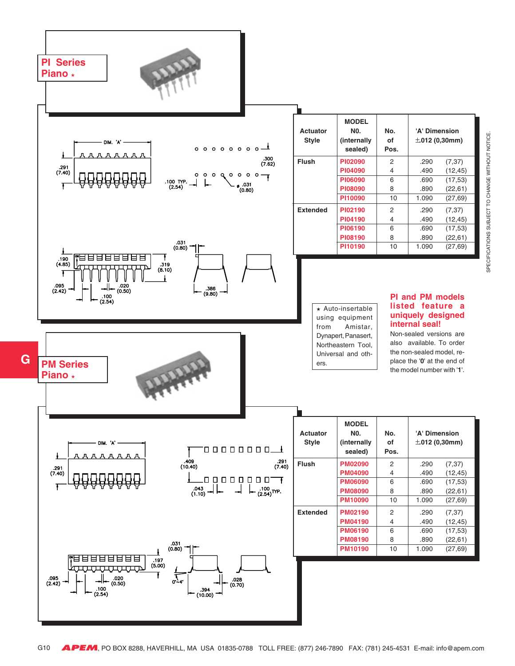

SPECIFICATIONS SUBJECT TO CHANGE WITHOUT NOTICE SPECIFICATIONS SUBJECT TO CHANGE WITHOUT NOTICE.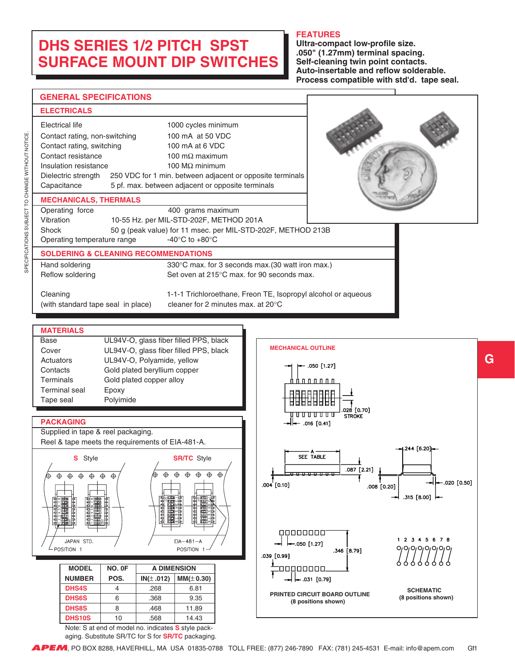## <span id="page-10-0"></span>**DHS SERIES 1/2 PITCH SPST SURFACE MOUNT DIP SWITCHES**

#### **FEATURES**

**Ultra-compact low-profile size. .050" (1.27mm) terminal spacing. Self-cleaning twin point contacts. Auto-insertable and reflow solderable. Process compatible with std'd. tape seal.**

| <b>GENERAL SPECIFICATIONS</b>                                                                                                                                                                                                                                                                                                                                                                                                                                                                                              |                                                                                                                                                                                                                                                                          |
|----------------------------------------------------------------------------------------------------------------------------------------------------------------------------------------------------------------------------------------------------------------------------------------------------------------------------------------------------------------------------------------------------------------------------------------------------------------------------------------------------------------------------|--------------------------------------------------------------------------------------------------------------------------------------------------------------------------------------------------------------------------------------------------------------------------|
|                                                                                                                                                                                                                                                                                                                                                                                                                                                                                                                            |                                                                                                                                                                                                                                                                          |
| <b>ELECTRICALS</b><br>Electrical life<br>1000 cycles minimum<br>Contact rating, non-switching<br>100 mA at 50 VDC<br>Contact rating, switching<br>100 mA at 6 VDC<br>Contact resistance<br>100 m $\Omega$ maximum<br>Insulation resistance<br>100 M $\Omega$ minimum<br>250 VDC for 1 min. between adjacent or opposite terminals<br>Dielectric strength<br>Capacitance<br>5 pf. max. between adjacent or opposite terminals                                                                                               |                                                                                                                                                                                                                                                                          |
| <b>MECHANICALS, THERMALS</b><br>Operating force<br>400 grams maximum<br>Vibration<br>10-55 Hz. per MIL-STD-202F, METHOD 201A<br>Shock<br>50 g (peak value) for 11 msec. per MIL-STD-202F, METHOD 213B<br>-40 $^{\circ}$ C to +80 $^{\circ}$ C<br>Operating temperature range                                                                                                                                                                                                                                               |                                                                                                                                                                                                                                                                          |
| <b>SOLDERING &amp; CLEANING RECOMMENDATIONS</b>                                                                                                                                                                                                                                                                                                                                                                                                                                                                            |                                                                                                                                                                                                                                                                          |
| 330°C max. for 3 seconds max.(30 watt iron max.)<br>Hand soldering<br>Reflow soldering<br>Set oven at 215°C max. for 90 seconds max.                                                                                                                                                                                                                                                                                                                                                                                       |                                                                                                                                                                                                                                                                          |
| Cleaning<br>cleaner for 2 minutes max. at 20°C<br>(with standard tape seal in place)                                                                                                                                                                                                                                                                                                                                                                                                                                       | 1-1-1 Trichloroethane, Freon TE, Isopropyl alcohol or aqueous                                                                                                                                                                                                            |
| <b>MATERIALS</b><br>UL94V-O, glass fiber filled PPS, black<br>Base<br>UL94V-O, glass fiber filled PPS, black<br>Cover<br>UL94V-O, Polyamide, yellow<br>Actuators<br>Gold plated beryllium copper<br>Contacts<br>Gold plated copper alloy<br>Terminals<br><b>Terminal</b> seal<br>Epoxy<br>Polyimide<br>Tape seal<br><b>PACKAGING</b><br>Supplied in tape & reel packaging.<br>Reel & tape meets the requirements of EIA-481-A.<br><b>S</b> Style<br><b>SR/TC</b> Style<br>⊕<br>⊕<br>⊕<br>⊕<br>⊕<br>⊕<br>⊕                  | <b>MECHANICAL OUTLINE</b><br>- .050 [1.27]<br><u>RAARAAAA </u><br><u>₩₩₩₩</u> ₩₩<br>.028 [0.70]<br>STROKE<br>—││← .016 [0.41]<br>.244 [6.20]<br>SEE TABLE<br>.087 [2.21]<br>←.020 [0.50]<br>.004 [0.10]<br>.008 [0.20]                                                   |
| 開開開<br>團體體<br>植鱼鱼科<br>œ<br>中国中国中国中国<br><u>HARRAHAA</u><br>8 8 8 8 9 8 9 8<br><b>Alidabilis</b><br>Sederation<br>Proversity<br><b>HHHH</b><br>$EIA-481-A$<br>JAPAN STD.<br>POSITION 1<br>POSITION 1<br>NO. OF<br><b>A DIMENSION</b><br><b>MODEL</b><br><b>NUMBER</b><br>POS.<br>$IN(\pm .012)$<br>MM(± 0.30)<br><b>DHS4S</b><br>4<br>.268<br>6.81<br><b>DHS6S</b><br>9.35<br>6<br>.368<br><b>DHS8S</b><br>8<br>.468<br>11.89<br><b>DHS10S</b><br>10<br>.568<br>14.43<br>Note: S at end of model no. indicates S style pack- | $\rightarrow$ .315 [8.00] $\leftarrow$<br>00000000<br>1 2 3 4 5 6 7 8<br>$-.050$ [1.27]<br>0101010101010<br>.346 [8.79]<br>.039 [0.99]<br>00000000.<br>$-.031$ [0.79]<br><b>SCHEMATIC</b><br>PRINTED CIRCUIT BOARD OUTLINE<br>(8 positions shown)<br>(8 positions shown) |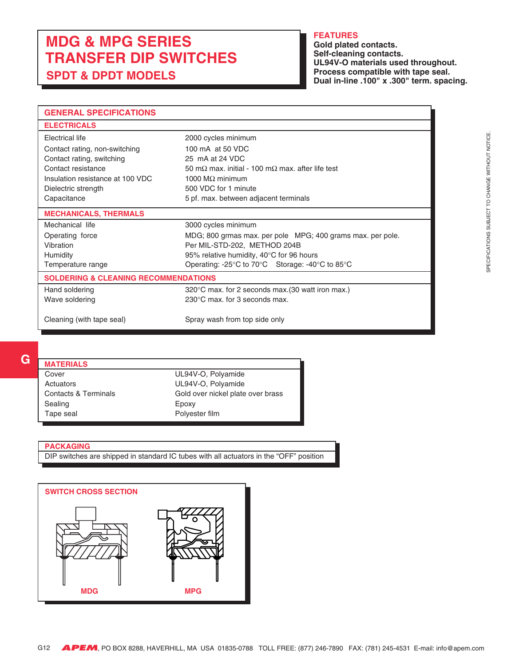## <span id="page-11-0"></span>**MDG & MPG SERIES TRANSFER DIP SWITCHES SPDT & DPDT MODELS**

#### **FEATURES**

**Gold plated contacts. Self-cleaning contacts. UL94V-O materials used throughout. Process compatible with tape seal. Dual in-line .100" x .300" term. spacing.**

| <b>GENERAL SPECIFICATIONS</b>                   |                                                                  |
|-------------------------------------------------|------------------------------------------------------------------|
| <b>ELECTRICALS</b>                              |                                                                  |
| Electrical life                                 | 2000 cycles minimum                                              |
| Contact rating, non-switching                   | 100 mA at 50 VDC                                                 |
| Contact rating, switching                       | 25 mA at 24 VDC                                                  |
| Contact resistance                              | 50 m $\Omega$ max, initial - 100 m $\Omega$ max, after life test |
| Insulation resistance at 100 VDC                | 1000 $M\Omega$ minimum                                           |
| Dielectric strength                             | 500 VDC for 1 minute                                             |
| Capacitance                                     | 5 pf. max. between adjacent terminals                            |
| <b>MECHANICALS, THERMALS</b>                    |                                                                  |
| Mechanical life                                 | 3000 cycles minimum                                              |
| Operating force                                 | MDG; 800 grmas max. per pole MPG; 400 grams max. per pole.       |
| Vibration                                       | Per MIL-STD-202, METHOD 204B                                     |
| Humidity                                        | 95% relative humidity, 40°C for 96 hours                         |
| Temperature range                               | Operating: -25°C to 70°C Storage: -40°C to 85°C                  |
| <b>SOLDERING &amp; CLEANING RECOMMENDATIONS</b> |                                                                  |
| Hand soldering                                  | 320°C max. for 2 seconds max. (30 watt iron max.)                |
| Wave soldering                                  | $230^{\circ}$ C max, for 3 seconds max.                          |
| Cleaning (with tape seal)                       | Spray wash from top side only                                    |

#### **MATERIALS**

| <b>WAICRIALS</b>                |                                   |
|---------------------------------|-----------------------------------|
| Cover                           | UL94V-O, Polyamide                |
| Actuators                       | UL94V-O, Polyamide                |
| <b>Contacts &amp; Terminals</b> | Gold over nickel plate over brass |
| Sealing                         | Epoxy                             |
| Tape seal                       | Polyester film                    |
|                                 |                                   |

#### **PACKAGING**

DIP switches are shipped in standard IC tubes with all actuators in the "OFF" position

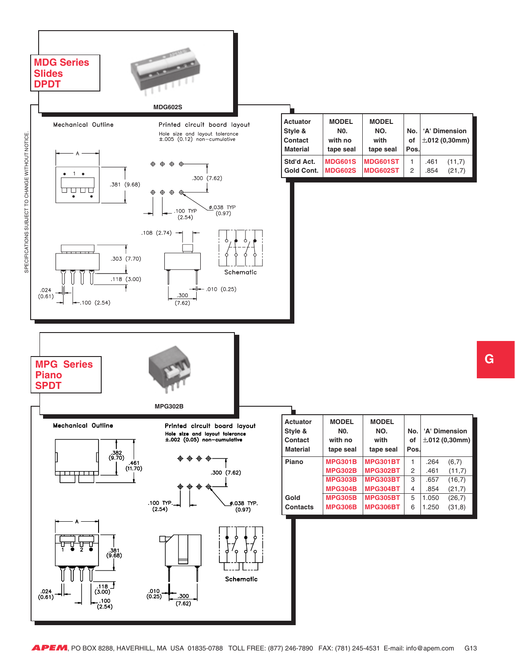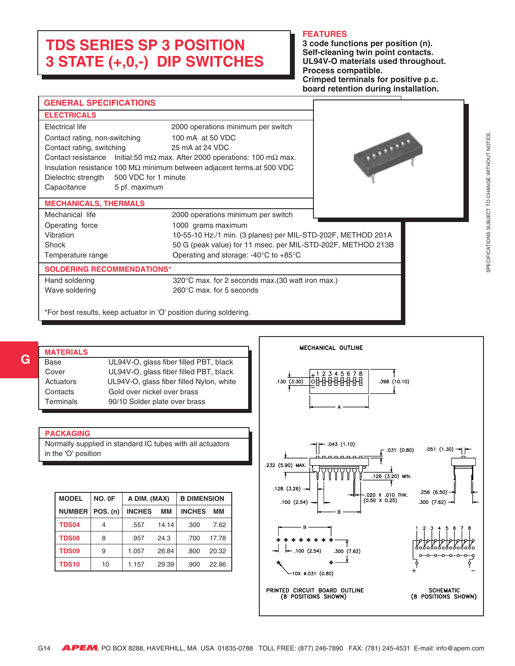## <span id="page-13-0"></span>**TDS SERIES SP 3 POSITION 3 STATE (+,0,-) DIP SWITCHES**

#### **FEATURES**

**3 code functions per position (n). Self-cleaning twin point contacts. UL94V-O materials used throughout. Process compatible. Crimped terminals for positive p.c. board retention during installation.**

| <b>GENERAL SPECIFICATIONS</b>                                      |                                                                                          |          |
|--------------------------------------------------------------------|------------------------------------------------------------------------------------------|----------|
| <b>ELECTRICALS</b>                                                 |                                                                                          |          |
| <b>Electrical life</b>                                             | 2000 operations minimum per switch                                                       |          |
| Contact rating, non-switching                                      | 100 mA at 50 VDC                                                                         |          |
| Contact rating, switching                                          | 25 mA at 24 VDC                                                                          |          |
|                                                                    | Contact resistance Initial:50 m $\Omega$ max. After 2000 operations: 100 m $\Omega$ max. | Athenson |
|                                                                    | Insulation resistance 100 MΩ minimum between adjacent terms.at 500 VDC                   |          |
| 500 VDC for 1 minute<br>Dielectric strength                        |                                                                                          |          |
| Capacitance<br>5 pf. maximum                                       |                                                                                          |          |
| <b>MECHANICALS, THERMALS</b>                                       |                                                                                          |          |
| Mechanical life                                                    | 2000 operations minimum per switch                                                       |          |
| Operating force                                                    | 1000 grams maximum                                                                       |          |
| Vibration                                                          | 10-55-10 Hz./1 min. (3 planes) per MIL-STD-202F, METHOD 201A                             |          |
| Shock                                                              | 50 G (peak value) for 11 msec. per MIL-STD-202F, METHOD 213B                             |          |
| Temperature range                                                  | Operating and storage: $-40^{\circ}$ C to $+85^{\circ}$ C                                |          |
| <b>SOLDERING RECOMMENDATIONS*</b>                                  |                                                                                          |          |
| Hand soldering                                                     | 320°C max. for 2 seconds max. (30 watt iron max.)                                        |          |
| Wave soldering                                                     | $260^{\circ}$ C max, for 5 seconds                                                       |          |
| *For best results, keep actuator in 'O' position during soldering. |                                                                                          |          |

| <b>MATERIALS</b> |                                          |
|------------------|------------------------------------------|
| Base             | UL94V-O, glass fiber filled PBT, black   |
| Cover            | UL94V-O, glass fiber filled PBT, black   |
| Actuators        | UL94V-O, glass fiber filled Nylon, white |
| Contacts         | Gold over nickel over brass              |
| Terminals        | 90/10 Solder plate over brass            |
|                  |                                          |

#### **PACKAGING**

**G**

Normally supplied in standard IC tubes with all actuators in the 'O' position

| <b>MODEL</b>  | NO. OF     | A DIM. (MAX)  |       | <b>B DIMENSION</b> |       |
|---------------|------------|---------------|-------|--------------------|-------|
| <b>NUMBER</b> | $POS.$ (n) | <b>INCHES</b> | MМ    | <b>INCHES</b>      | MМ    |
| <b>TDS04</b>  | 4          | .557          | 14.14 | .300               | 7.62  |
| <b>TDS08</b>  | 8          | .957          | 24.3  | .700               | 17.78 |
| <b>TDS09</b>  | 9          | 1.057         | 26.84 | .800               | 20.32 |
| <b>TDS10</b>  | 10         | 1.157         | 29.39 | .900               | 22.86 |

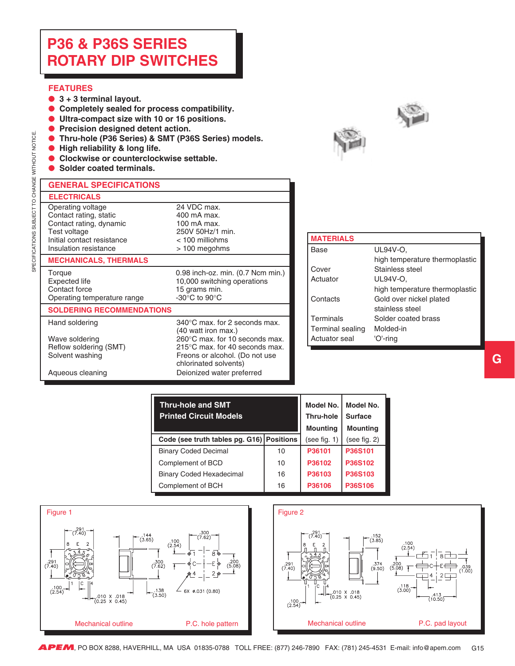## <span id="page-14-0"></span>**P36 & P36S SERIES ROTARY DIP SWITCHES**

#### **FEATURES**

SPECIFICATIONS SUBJECT TO CHANGE WITHOUT NOTICE.

SPECIFICATIONS SUBJECT TO CHANGE WITHOUT NOTICE

- ● **3 + 3 terminal layout.**
- ● **Completely sealed for process compatibility.**
- ● **Ultra-compact size with 10 or 16 positions.**
- ● **Precision designed detent action.**
- ● **Thru-hole (P36 Series) & SMT (P36S Series) models.**
- ● **High reliability & long life.**
- ● **Clockwise or counterclockwise settable.**
- **Solder coated terminals.**



| <b>GENERAL SPECIFICATIONS</b>                                                                                                                 |                                                                                                                                  |
|-----------------------------------------------------------------------------------------------------------------------------------------------|----------------------------------------------------------------------------------------------------------------------------------|
| <b>ELECTRICALS</b>                                                                                                                            |                                                                                                                                  |
| Operating voltage<br>Contact rating, static<br>Contact rating, dynamic<br>Test voltage<br>Initial contact resistance<br>Insulation resistance | 24 VDC max.<br>400 mA max.<br>100 mA max.<br>250V 50Hz/1 min.<br>$< 100$ milliohms<br>> 100 megohms                              |
| <b>MECHANICALS, THERMALS</b>                                                                                                                  |                                                                                                                                  |
| Torque<br><b>Expected life</b><br>Contact force<br>Operating temperature range                                                                | 0.98 inch-oz. min. (0.7 Ncm min.)<br>10,000 switching operations<br>15 grams min.<br>-30 $\rm{^{\circ}C}$ to 90 $\rm{^{\circ}C}$ |
| <b>SOLDERING RECOMMENDATIONS</b>                                                                                                              |                                                                                                                                  |

(40 watt iron max.)

chlorinated solvents)

Freons or alcohol. (Do not use

#### Hand soldering 340°C max. for 2 seconds max.

Wave soldering  $260^{\circ}$ C max. for 10 seconds max.<br>
Reflow soldering (SMT)  $215^{\circ}$ C max. for 40 seconds max. Reflow soldering (SMT) 215°C max. for 40 seconds max.<br>Solvent washing Freons or alcohol. (Do not use

Aqueous cleaning **Deionized** water preferred

| <b>MATERIALS</b> |                                |
|------------------|--------------------------------|
| Base             | UL94V-O.                       |
|                  | high temperature thermoplastic |
| Cover            | Stainless steel                |
| Actuator         | UL94V-O,                       |
|                  | high temperature thermoplastic |
| Contacts         | Gold over nickel plated        |
|                  | stainless steel                |
| Terminals        | Solder coated brass            |
| Terminal sealing | Molded-in                      |
| Actuator seal    | 'O'-ring                       |

| <b>Thru-hole and SMT</b><br><b>Printed Circuit Models</b> |    | Model No. I<br><b>Thru-hole</b><br><b>Mounting</b> | Model No.<br><b>Surface</b><br><b>Mounting</b> |
|-----------------------------------------------------------|----|----------------------------------------------------|------------------------------------------------|
| Code (see truth tables pg. G16) Positions                 |    | (see fig. 1)                                       | (see fig. 2)                                   |
| <b>Binary Coded Decimal</b>                               | 10 | P36101                                             | P36S101                                        |
| Complement of BCD                                         | 10 | P36102                                             | P36S102                                        |
| <b>Binary Coded Hexadecimal</b>                           | 16 | P36103                                             | P36S103                                        |
| Complement of BCH                                         | 16 | P36106                                             | P36S106                                        |

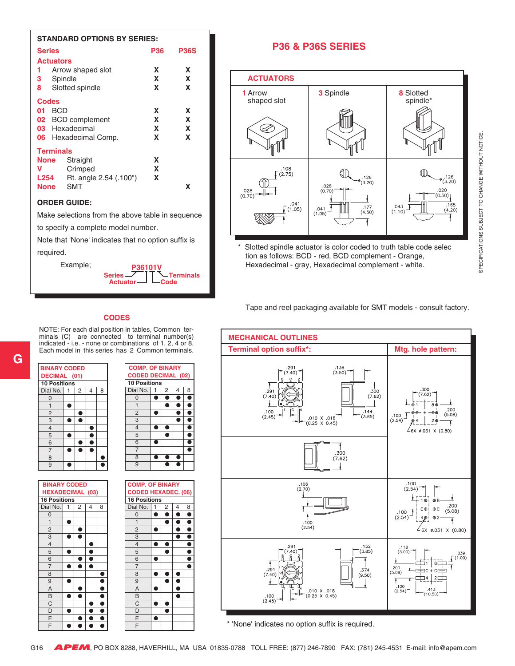|                  | <b>STANDARD OPTIONS BY SERIES:</b> |     |             |
|------------------|------------------------------------|-----|-------------|
| <b>Series</b>    |                                    | P36 | <b>P36S</b> |
| <b>Actuators</b> |                                    |     |             |
| 1                | Arrow shaped slot                  | x   | X           |
| 3.               | Spindle                            | X   | X           |
| 8                | Slotted spindle                    | X   | X           |
| Codes            |                                    |     |             |
| BCD<br>01        |                                    | x   | X           |
| 02               | <b>BCD</b> complement              | X   | X           |
|                  | 03 Hexadecimal                     | x   | X           |
| 06               | Hexadecimal Comp.                  | x   | X           |
| <b>Terminals</b> |                                    |     |             |
| None             | Straight                           | x   |             |
| v                | Crimped                            | X   |             |
| L254             | Rt. angle 2.54 (.100")             | X   |             |
| <b>None</b>      | SMT                                |     | x           |

#### **ORDER GUIDE:**

Make selections from the above table in sequence

to specify a complete model number.

Note that 'None' indicates that no option suffix is required.



#### **P36 & P36S SERIES**



Slotted spindle actuator is color coded to truth table code selec tion as follows: BCD - red, BCD complement - Orange, Hexadecimal - gray, Hexadecimal complement - white.

Tape and reel packaging available for SMT models - consult factory.

#### **CODES**

NOTE: For each dial position in tables, Common terminals (C) are connected to terminal number(s) indicated - i.e. - none or combinations of 1, 2, 4 or 8. Each model in this series has 2 Common terminals.



| <b>BINARY CODED</b>     |   |   |   |   |
|-------------------------|---|---|---|---|
| <b>HEXADECIMAL (03)</b> |   |   |   |   |
| <b>16 Positions</b>     |   |   |   |   |
| Dial No.                | 1 | 2 | 4 | 8 |
| $\mathbf 0$             |   |   |   |   |
| $\mathbf{1}$            |   |   |   |   |
| $\overline{\mathbf{c}}$ |   |   |   |   |
| $\overline{3}$          |   |   |   |   |
| $\overline{4}$          |   |   |   |   |
| 5                       |   |   |   |   |
| 6                       |   |   |   |   |
| $\overline{7}$          |   |   |   |   |
| 8                       |   |   |   |   |
| 9                       |   |   |   | Ď |
| A                       |   |   |   |   |
| B                       |   |   |   |   |
| C                       |   |   |   |   |
| D                       |   |   |   |   |
| E                       |   |   |   |   |
| $\overline{\mathsf{F}}$ |   |   |   |   |

 **COMP. OF BINARY CODED DECIMAL (02) 10 Positions** Dial No. 1 2 4 8  $\overline{\bullet}\ \overline{\bullet}\ \overline{\bullet}\ \overline{\bullet}$ 1 **. . . . . .**  $\begin{array}{c|c|c|c|c|c} \hline 2 & \bullet & \bullet & \bullet \\ \hline 3 & & \bullet & \bullet \end{array}$ 3 ● ●  $\begin{array}{|c|c|c|c|}\n \hline\n 4 & \bullet & \bullet & \bullet \\
 \hline\n 5 & \bullet & \bullet & \bullet\n \end{array}$  $\overline{\bullet}$   $\overline{\bullet}$ 6 **• • •** 7 | | | | | ●  $\begin{array}{|c|c|c|c|c|}\n \hline\n 8 & \bullet & \bullet & \bullet \\
 \hline\n 9 & \bullet & \bullet & \bullet \\
 \hline\n\end{array}$  $\overline{\bullet}\overline{\bullet}$ 





\* 'None' indicates no option suffix is required.

SPECIFICATIONS SUBJECT TO CHANGE WITHOUT NOTICE. SPECIFICATIONS SUBJECT TO CHANGE WITHOUT NOTICE.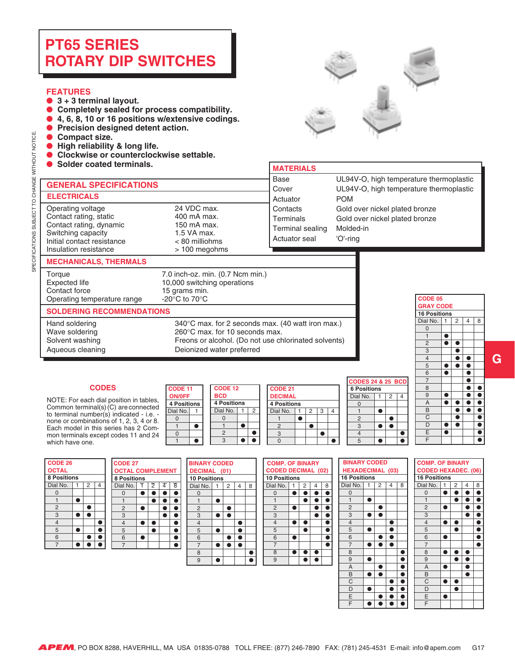#### <span id="page-16-0"></span>**FEATURES**

- 3 + 3 terminal layout.<br>● Completely sealed fo
- Completely sealed for process compatibility.
- ● **4, 6, 8, 10 or 16 positions w/extensive codings.**
- **Precision designed detent action.**
- ● **Compact size.**
- ● **High reliability & long life.**
- Clockwise or counterclockwise settable.
- 



| Solder coated terminals.                                                                                                                            |                                                                                                                         | <b>MATERIALS</b>                                                                                          |                                                                                                  |                                 |                                         |                        |                |   |
|-----------------------------------------------------------------------------------------------------------------------------------------------------|-------------------------------------------------------------------------------------------------------------------------|-----------------------------------------------------------------------------------------------------------|--------------------------------------------------------------------------------------------------|---------------------------------|-----------------------------------------|------------------------|----------------|---|
| <b>GENERAL SPECIFICATIONS</b><br><b>ELECTRICALS</b>                                                                                                 |                                                                                                                         | Base<br>Cover<br>Actuator                                                                                 | UL94V-O, high temperature thermoplastic<br>UL94V-O, high temperature thermoplastic<br><b>POM</b> |                                 |                                         |                        |                |   |
| Operating voltage<br>Contact rating, static<br>Contact rating, dynamic<br>Switching capacity<br>Initial contact resistance<br>Insulation resistance | 24 VDC max.<br>400 mA max.<br>150 mA max.<br>1.5 VA max.<br>< 80 milliohms<br>> 100 megohms                             | Contacts<br>Terminals<br>Terminal sealing<br>Actuator seal                                                | Gold over nickel plated bronze<br>Gold over nickel plated bronze<br>Molded-in<br>'O'-ring        |                                 |                                         |                        |                |   |
| <b>MECHANICALS, THERMALS</b>                                                                                                                        |                                                                                                                         |                                                                                                           |                                                                                                  |                                 |                                         |                        |                |   |
| Torque<br>Expected life<br>Contact force<br>Operating temperature range                                                                             | 7.0 inch-oz. min. (0.7 Ncm min.)<br>10,000 switching operations<br>15 grams min.<br>-20 $^{\circ}$ C to 70 $^{\circ}$ C |                                                                                                           |                                                                                                  |                                 | CODE 05                                 |                        |                |   |
| <b>SOLDERING RECOMMENDATIONS</b>                                                                                                                    |                                                                                                                         |                                                                                                           |                                                                                                  |                                 | <b>GRAY CODE</b><br><b>16 Positions</b> |                        |                |   |
| Hand soldering<br>Wave soldering<br>Solvent washing                                                                                                 | $260^{\circ}$ C max, for 10 seconds max.                                                                                | 340°C max. for 2 seconds max. (40 watt iron max.)<br>Freons or alcohol. (Do not use chlorinated solvents) |                                                                                                  | Dial No.<br>$\Omega$<br>$\circ$ |                                         | $\bullet$<br>$\bullet$ | $\overline{2}$ | 8 |

Aqueous cleaning Deionized water preferred

#### $CODES$

 **ON/0FF** NOTE: For each dial position in tables, **4 Positions**  $\frac{1}{2}$  Dial No. 1 to terminal number(s) indicated - i.e. -  $\frac{1}{2}$ Common terminal(s) (C) are connected none or combinations of 1, 2, 3, 4 or 8. Each model in this series has 2 Common terminals except codes 11 and 24 which have one.

| CODE 11            |  | CODE 12            |   | CODE 21            |  |
|--------------------|--|--------------------|---|--------------------|--|
| <b>ON/OFF</b>      |  | <b>BCD</b>         |   | <b>DECIMAL</b>     |  |
| <b>4 Positions</b> |  | <b>4 Positions</b> |   | <b>4 Positions</b> |  |
| Dial No.           |  | Dial No.           | 2 | Dial No.           |  |
|                    |  |                    |   |                    |  |
|                    |  |                    |   |                    |  |
|                    |  |                    |   |                    |  |
|                    |  |                    |   |                    |  |

|              |   |          |                                                        |   |   | ة CODES 24 ا       |  |
|--------------|---|----------|--------------------------------------------------------|---|---|--------------------|--|
| <b>DE 12</b> |   |          |                                                        |   |   | <b>6 Positions</b> |  |
|              |   |          |                                                        |   |   | Dial No.           |  |
| 'ositions    |   |          |                                                        |   |   |                    |  |
|              | 2 | Dial No. | 2                                                      | З | 4 |                    |  |
|              |   |          |                                                        |   |   |                    |  |
|              |   |          |                                                        |   |   |                    |  |
|              |   |          |                                                        |   |   |                    |  |
|              |   |          |                                                        |   |   |                    |  |
|              |   |          | <b>CODE 21</b><br><b>DECIMAL</b><br><b>4 Positions</b> |   |   |                    |  |

|                    |                |   |  |  | <b>CODES 24 &amp; 25 BCD</b> |  |   |  |
|--------------------|----------------|---|--|--|------------------------------|--|---|--|
| <b>6 Positions</b> |                |   |  |  |                              |  |   |  |
|                    |                |   |  |  | Dial No.                     |  | 2 |  |
|                    |                |   |  |  |                              |  |   |  |
|                    | $\overline{2}$ | 3 |  |  |                              |  |   |  |
|                    |                |   |  |  | 2                            |  |   |  |
|                    |                |   |  |  | 3                            |  |   |  |
|                    |                |   |  |  |                              |  |   |  |
|                    |                |   |  |  |                              |  |   |  |

| <b>GRAY CODE</b>    |              |                |                     |   |  |  |  |  |  |  |
|---------------------|--------------|----------------|---------------------|---|--|--|--|--|--|--|
| <b>16 Positions</b> |              |                |                     |   |  |  |  |  |  |  |
| Dial No.            | $\mathbf{1}$ | $\overline{2}$ | $\overline{4}$      | 8 |  |  |  |  |  |  |
| $\mathbf{0}$        |              |                |                     |   |  |  |  |  |  |  |
| $\mathbf{1}$        |              |                |                     |   |  |  |  |  |  |  |
| $\overline{2}$      | г            | ٠              |                     |   |  |  |  |  |  |  |
| $\overline{3}$      |              |                |                     |   |  |  |  |  |  |  |
| $\overline{4}$      |              |                | ٠                   |   |  |  |  |  |  |  |
| 5                   |              | ā              | ė                   |   |  |  |  |  |  |  |
| 6                   | ŕ            |                | $\frac{1}{\bullet}$ |   |  |  |  |  |  |  |
| $\overline{7}$      |              |                | ī                   |   |  |  |  |  |  |  |
| 8                   |              |                | Ì                   | f |  |  |  |  |  |  |
| 9                   |              |                | ē                   | ŕ |  |  |  |  |  |  |
| $\overline{A}$      | î            | ٦              | İ                   | ĕ |  |  |  |  |  |  |
|                     |              |                | ċ                   | ŕ |  |  |  |  |  |  |
| $\frac{B}{C}$       |              |                |                     | ī |  |  |  |  |  |  |
| $\overline{D}$      |              | ė              |                     | ŕ |  |  |  |  |  |  |
| $\overline{E}$      |              |                |                     |   |  |  |  |  |  |  |
| F                   |              |                |                     |   |  |  |  |  |  |  |

| <b>CODE 26</b>          |  |  |  |  |  |
|-------------------------|--|--|--|--|--|
| <b>OCTAL</b>            |  |  |  |  |  |
| <b>8 Positions</b>      |  |  |  |  |  |
| Dial No.<br>2<br>1<br>4 |  |  |  |  |  |
| U                       |  |  |  |  |  |
|                         |  |  |  |  |  |
| $\overline{c}$          |  |  |  |  |  |
| 3                       |  |  |  |  |  |
| 4                       |  |  |  |  |  |
| 5                       |  |  |  |  |  |
| 6                       |  |  |  |  |  |
| ۳                       |  |  |  |  |  |





|    | <b>ODED</b> |   |   | <b>COMP. OF BINARY</b>    |   |   |   | <b>BINARY CO</b>    |  |
|----|-------------|---|---|---------------------------|---|---|---|---------------------|--|
|    | (01)        |   |   | <b>CODED DECIMAL (02)</b> |   |   |   | <b>HEXADECIM</b>    |  |
| ٦S |             |   |   | <b>10 Positions</b>       |   |   |   | <b>16 Positions</b> |  |
|    | 2           | 4 | 8 | Dial No.                  | 2 | 4 | 8 | Dial No.            |  |
|    |             |   |   | $\Omega$                  |   |   |   | O                   |  |
|    |             |   |   |                           |   |   |   |                     |  |
|    |             |   |   | $\overline{2}$            |   |   |   | $\overline{2}$      |  |
|    |             |   |   | 3                         |   |   |   | 3                   |  |
|    |             |   |   | $\overline{4}$            |   |   |   | $\overline{4}$      |  |
|    |             |   |   | 5                         |   |   |   | 5                   |  |
|    |             |   |   | 6                         |   |   |   | 6                   |  |
|    |             |   |   | 7                         |   |   |   | $\overline{7}$      |  |
|    |             |   |   | 8                         |   |   |   | 8                   |  |
|    |             |   |   | 9                         |   |   |   | 9                   |  |
|    |             |   |   |                           |   |   |   | A                   |  |
|    |             |   |   |                           |   |   |   | R                   |  |

|                                                                                                                                                                                                                                | <b>F BINARY</b> |                     |    |  | <b>BINARY CODED</b> |   |   |   |   |                  | <b>COMP. OF B</b>   |   |
|--------------------------------------------------------------------------------------------------------------------------------------------------------------------------------------------------------------------------------|-----------------|---------------------|----|--|---------------------|---|---|---|---|------------------|---------------------|---|
| <b>HEXADECIMAL (03)</b><br>ECIMAL (02)                                                                                                                                                                                         |                 |                     |    |  |                     |   |   |   |   | <b>CODED HEX</b> |                     |   |
| ns                                                                                                                                                                                                                             |                 | <b>16 Positions</b> |    |  |                     |   |   |   |   |                  | <b>16 Positions</b> |   |
| 1                                                                                                                                                                                                                              | 2               | 4                   | 8  |  | Dial No.            | 1 | 2 | 4 | 8 |                  | Dial No.            | 1 |
| e de la construcción de la construcción de la construcción de la construcción de la construcción de la construcción de la construcción de la construcción de la construcción de la construcción de la construcción de la const |                 |                     | Ñ  |  | 0                   |   |   |   |   |                  | 0                   | ● |
|                                                                                                                                                                                                                                | A               |                     | e  |  | $\overline{1}$      |   |   |   |   |                  | $\mathbf{1}$        |   |
| ٠                                                                                                                                                                                                                              |                 |                     | r. |  | $\overline{2}$      |   |   |   |   |                  | $\overline{2}$      |   |
|                                                                                                                                                                                                                                |                 |                     |    |  | 3                   |   |   |   |   |                  | 3                   |   |
|                                                                                                                                                                                                                                |                 |                     |    |  | $\overline{4}$      |   |   |   |   |                  | $\overline{4}$      |   |
|                                                                                                                                                                                                                                |                 |                     |    |  | 5                   |   |   |   |   |                  | 5                   |   |
|                                                                                                                                                                                                                                |                 |                     |    |  | 6                   |   | D |   |   |                  | 6                   |   |
|                                                                                                                                                                                                                                |                 |                     |    |  | $\overline{7}$      |   |   |   |   |                  | $\overline{7}$      |   |
|                                                                                                                                                                                                                                |                 |                     |    |  | 8                   |   |   |   |   |                  | 8                   |   |
|                                                                                                                                                                                                                                |                 |                     |    |  | 9                   |   |   |   | ń |                  | 9                   |   |
|                                                                                                                                                                                                                                |                 |                     |    |  | $\overline{A}$      |   |   |   | ۰ |                  | A                   |   |
|                                                                                                                                                                                                                                |                 |                     |    |  | B                   |   |   |   | ń |                  | B                   |   |
|                                                                                                                                                                                                                                |                 |                     |    |  | C                   |   |   |   | n |                  | C                   |   |
|                                                                                                                                                                                                                                |                 |                     |    |  | D                   |   |   | n | n |                  | D                   |   |
|                                                                                                                                                                                                                                |                 |                     |    |  | Ε                   |   |   |   | ٥ |                  | Ε                   |   |
|                                                                                                                                                                                                                                |                 |                     |    |  | F                   |   |   |   |   |                  | F                   |   |
|                                                                                                                                                                                                                                |                 |                     |    |  |                     |   |   |   |   |                  |                     |   |

|   |    |              |                   | <b>COMP. OF BINARY</b>     |                        |   |   |   |  |  |
|---|----|--------------|-------------------|----------------------------|------------------------|---|---|---|--|--|
|   |    |              |                   | <b>CODED HEXADEC. (06)</b> |                        |   |   |   |  |  |
|   |    |              |                   | <b>16 Positions</b>        |                        |   |   |   |  |  |
| 2 | 4  | 8            |                   | Dial No.                   | 1                      | 2 | 4 | 8 |  |  |
|   |    |              |                   | $\overline{0}$             | <b>Service Service</b> |   |   |   |  |  |
|   |    |              |                   | $\mathbf{1}$               |                        |   |   |   |  |  |
|   |    |              |                   | $\overline{c}$             |                        |   |   |   |  |  |
|   |    |              |                   | 3                          |                        |   |   |   |  |  |
|   |    |              |                   | $\overline{4}$             |                        |   |   |   |  |  |
|   |    |              |                   | 5                          |                        |   |   |   |  |  |
|   |    |              |                   | 6                          |                        |   |   |   |  |  |
|   |    |              |                   | $\overline{7}$             |                        |   |   |   |  |  |
|   |    |              |                   | 8                          |                        |   |   |   |  |  |
|   |    |              |                   | 9                          |                        |   |   |   |  |  |
|   |    |              |                   | A                          |                        |   |   |   |  |  |
|   |    |              |                   | B                          |                        |   |   |   |  |  |
|   |    |              |                   | C                          |                        |   |   |   |  |  |
|   |    |              |                   | D                          |                        |   |   |   |  |  |
|   |    |              |                   | E                          |                        |   |   |   |  |  |
|   |    |              |                   | F                          |                        |   |   |   |  |  |
|   | ns | <b>CODED</b> | <b>CIMAL (03)</b> |                            |                        |   |   |   |  |  |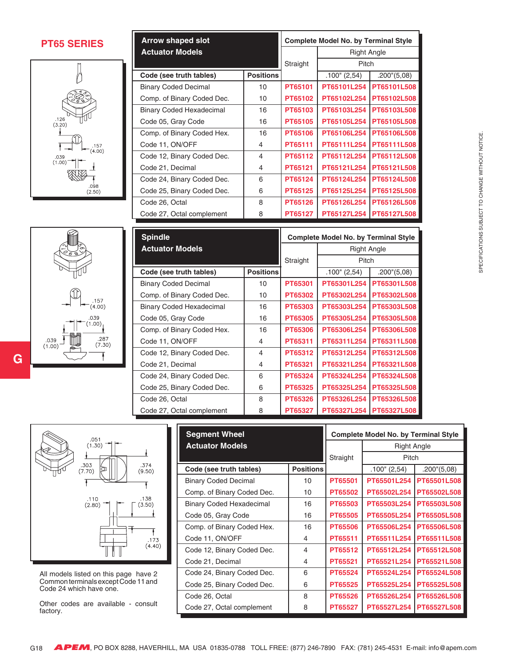**PT65 SERIES**



| $.157$<br>(4.00)                                   |
|----------------------------------------------------|
| .039<br>(1.00)<br>.287<br>(7.30)<br>.039<br>(1.00) |
|                                                    |

**G**

| <b>Arrow shaped slot</b>        | <b>Complete Model No. by Terminal Style</b> |                |                    |                       |  |  |  |
|---------------------------------|---------------------------------------------|----------------|--------------------|-----------------------|--|--|--|
| <b>Actuator Models</b>          |                                             |                | <b>Right Angle</b> |                       |  |  |  |
|                                 |                                             |                |                    |                       |  |  |  |
| Code (see truth tables)         | <b>Positions</b>                            |                | $.100$ " (2,54)    | $.200^{\circ}$ (5,08) |  |  |  |
| <b>Binary Coded Decimal</b>     | 10                                          | PT65101        | PT65101L254        | PT65101L508           |  |  |  |
| Comp. of Binary Coded Dec.      | 10                                          | PT65102        | PT65102L254        | PT65102L508           |  |  |  |
| <b>Binary Coded Hexadecimal</b> | 16                                          | PT65103        | PT65103L254        | PT65103L508           |  |  |  |
| Code 05, Gray Code              | 16                                          | PT65105        | PT65105L254        | PT65105L508           |  |  |  |
| Comp. of Binary Coded Hex.      | 16                                          | <b>PT65106</b> | PT65106L254        | PT65106L508           |  |  |  |
| Code 11, ON/OFF                 | 4                                           | PT65111        | PT65111L254        | PT65111L508           |  |  |  |
| Code 12, Binary Coded Dec.      | 4                                           | PT65112        | PT65112L254        | PT65112L508           |  |  |  |
| Code 21, Decimal                | 4                                           | PT65121        | PT65121L254        | PT65121L508           |  |  |  |
| Code 24, Binary Coded Dec.      | 6                                           | PT65124        | PT65124L254        | PT65124L508           |  |  |  |
| Code 25, Binary Coded Dec.      | 6                                           | PT65125        | PT65125L254        | PT65125L508           |  |  |  |
| Code 26, Octal                  | 8                                           | PT65126        | PT65126L254        | PT65126L508           |  |  |  |
| Code 27, Octal complement       | 8                                           | PT65127        | PT65127L254        | PT65127L508           |  |  |  |

| <b>Spindle</b>                  |                  |          | <b>Complete Model No. by Terminal Style</b> |                           |  |
|---------------------------------|------------------|----------|---------------------------------------------|---------------------------|--|
| <b>Actuator Models</b>          |                  |          | <b>Right Angle</b>                          |                           |  |
|                                 |                  | Straight | Pitch                                       |                           |  |
| Code (see truth tables)         | <b>Positions</b> |          | $.100$ " (2,54)                             | .200''(5,08)              |  |
| <b>Binary Coded Decimal</b>     | 10               | PT65301  | PT65301L254                                 | PT65301L508               |  |
| Comp. of Binary Coded Dec.      | 10               | PT65302  | PT65302L254                                 | PT65302L508               |  |
| <b>Binary Coded Hexadecimal</b> | 16               | PT65303  | PT65303L254                                 | PT65303L508               |  |
| Code 05, Gray Code              | 16               | PT65305  | PT65305L254                                 | PT65305L508               |  |
| Comp. of Binary Coded Hex.      | 16               | PT65306  | PT65306L254                                 | PT65306L508               |  |
| Code 11, ON/OFF                 | 4                | PT65311  | PT65311L254                                 | PT65311L508               |  |
| Code 12, Binary Coded Dec.      | $\overline{4}$   | PT65312  | PT65312L254                                 | PT65312L508               |  |
| Code 21, Decimal                | 4                | PT65321  | PT65321L254                                 | PT65321L508               |  |
| Code 24, Binary Coded Dec.      | 6                | PT65324  | PT65324L254                                 | PT65324L508               |  |
| Code 25, Binary Coded Dec.      | 6                | PT65325  | PT65325L254                                 | PT65325L508               |  |
| Code 26, Octal                  | 8                | PT65326  | PT65326L254                                 | PT65326L508               |  |
| Code 27, Octal complement       | 8                | PT65327  |                                             | PT65327L254   PT65327L508 |  |



All models listed on this page have 2 Common terminals except Code 11 and Code 24 which have one.

Other codes are available - consult factory.

| <b>Segment Wheel</b>            |                  | <b>Complete Model No. by Terminal Style</b> |                    |                       |  |
|---------------------------------|------------------|---------------------------------------------|--------------------|-----------------------|--|
| <b>Actuator Models</b>          |                  |                                             | <b>Right Angle</b> |                       |  |
|                                 |                  | Straight                                    | Pitch              |                       |  |
| Code (see truth tables)         | <b>Positions</b> |                                             | $.100$ " (2,54)    | $.200^{\circ}$ (5,08) |  |
| <b>Binary Coded Decimal</b>     | 10               | PT65501                                     | PT65501L254        | PT65501L508           |  |
| Comp. of Binary Coded Dec.      | 10               | PT65502                                     | PT65502L254        | PT65502L508           |  |
| <b>Binary Coded Hexadecimal</b> | 16               | PT65503                                     | PT65503L254        | PT65503L508           |  |
| Code 05, Gray Code              | 16               | PT65505                                     | PT65505L254        | PT65505L508           |  |
| Comp. of Binary Coded Hex.      | 16               | <b>PT65506</b>                              | PT65506L254        | PT65506L508           |  |
| Code 11, ON/OFF                 | 4                | PT65511                                     | PT65511L254        | PT65511L508           |  |
| Code 12, Binary Coded Dec.      | 4                | PT65512                                     | PT65512L254        | PT65512L508           |  |
| Code 21, Decimal                | 4                | PT65521                                     | PT65521L254        | PT65521L508           |  |
| Code 24, Binary Coded Dec.      | 6                | PT65524                                     | PT65524L254        | PT65524L508           |  |
| Code 25, Binary Coded Dec.      | 6                | PT65525                                     | PT65525L254        | PT65525L508           |  |
| Code 26, Octal                  | 8                | PT65526                                     | PT65526L254        | PT65526L508           |  |
| Code 27, Octal complement       | 8                | PT65527                                     | PT65527L254        | PT65527L508           |  |

**APEM**, PO BOX 8288, HAVERHILL, MA USA 01835-0788 TOLL FREE: (877) 246-7890 FAX: (781) 245-4531 E-mail: info@apem.com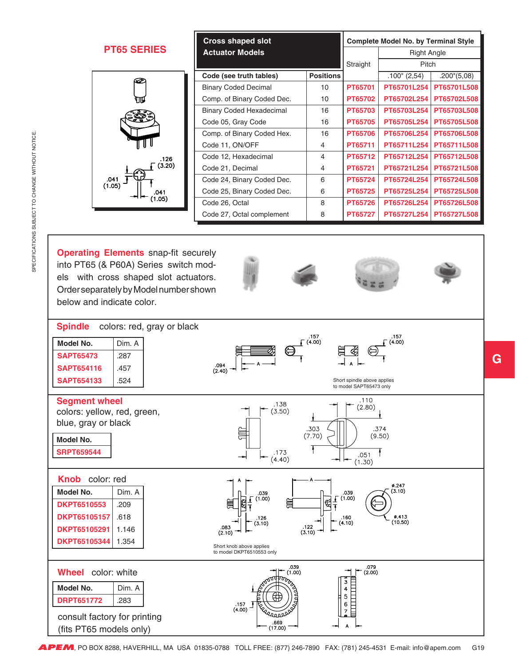| <b>Cross shaped slot</b> |                                              | <b>Complete Model No. by Terminal Style</b> |                  |                    |                 |                       |
|--------------------------|----------------------------------------------|---------------------------------------------|------------------|--------------------|-----------------|-----------------------|
|                          | <b>PT65 SERIES</b><br><b>Actuator Models</b> |                                             |                  | <b>Right Angle</b> |                 |                       |
|                          |                                              |                                             |                  | Straight           | Pitch           |                       |
| ∽                        |                                              | Code (see truth tables)                     | <b>Positions</b> |                    | $.100$ " (2,54) | $.200^{\circ}$ (5,08) |
|                          |                                              | <b>Binary Coded Decimal</b>                 | 10               | PT65701            | PT65701L254     | PT65701L508           |
| ЧIJ                      |                                              | Comp. of Binary Coded Dec.                  | 10 <sup>10</sup> | PT65702            | PT65702L254     | PT65702L508           |
|                          |                                              | <b>Binary Coded Hexadecimal</b>             | 16               | PT65703            | PT65703L254     | PT65703L508           |
|                          |                                              | Code 05, Gray Code                          | 16               | PT65705            | PT65705L254     | <b>PT65705L508</b>    |
|                          |                                              | Comp. of Binary Coded Hex.                  | 16               | <b>PT65706</b>     | PT65706L254     | PT65706L508           |
|                          |                                              | Code 11, ON/OFF                             | 4                | PT65711            | PT65711L254     | PT65711L508           |
| .126                     |                                              | Code 12, Hexadecimal                        | 4                | PT65712            | PT65712L254     | PT65712L508           |
| (3.20)                   |                                              | Code 21, Decimal                            | 4                | PT65721            | PT65721L254     | PT65721L508           |
| €.<br>.041               |                                              | Code 24, Binary Coded Dec.                  | 6                | PT65724            | PT65724L254     | PT65724L508           |
| (1.05)<br>.041           |                                              | Code 25, Binary Coded Dec.                  | 6                | PT65725            | PT65725L254     | PT65725L508           |
| (1.05)                   |                                              | Code 26, Octal                              | 8                | PT65726            | PT65726L254     | PT65726L508           |
|                          |                                              | Code 27, Octal complement                   | 8                | PT65727            | PT65727L254     | PT65727L508           |
|                          |                                              |                                             |                  |                    |                 |                       |

**Operating Elements** snap-fit securely into PT65 (& P60A) Series switch models with cross shaped slot actuators. Order separately by Model number shown below and indicate color.



**G**

**APEM**, PO BOX 8288, HAVERHILL, MA USA 01835-0788 TOLL FREE: (877) 246-7890 FAX: (781) 245-4531 E-mail: info@apem.com G19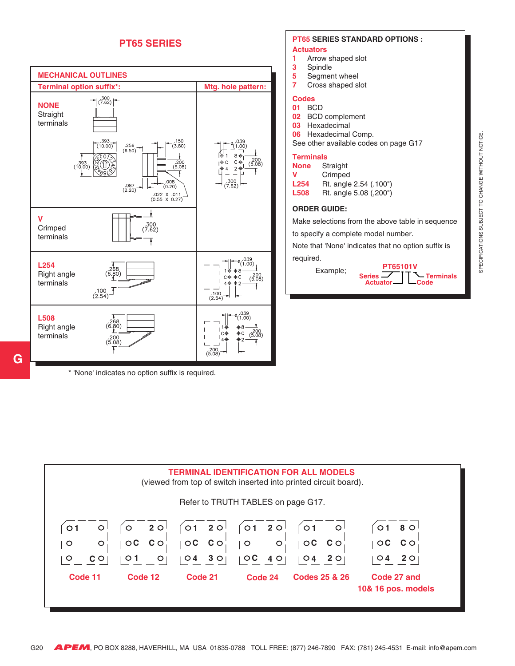#### **PT65 SERIES**



\* 'None' indicates no option suffix is required.

**G**

### **PT65 SERIES STANDARD OPTIONS :**

- **Actuators**
- **1** Arrow shaped slot **3** Spindle
- **5** Segment wheel
- 
- **7** Cross shaped slot

#### **Codes 01** BCD

- **02** BCD complement
- **03** Hexadecimal
- 
- **06** Hexadecimal Comp. See other available codes on page G17

#### **Terminals**

| None | Straight               |
|------|------------------------|
| v    | Crimped                |
| L254 | Rt. angle 2.54 (.100") |
| L508 | Rt. angle 5.08 (,200") |

#### **ORDER GUIDE:**

Make selections from the above table in sequence

to specify a complete model number.

Note that 'None' indicates that no option suffix is

#### required.



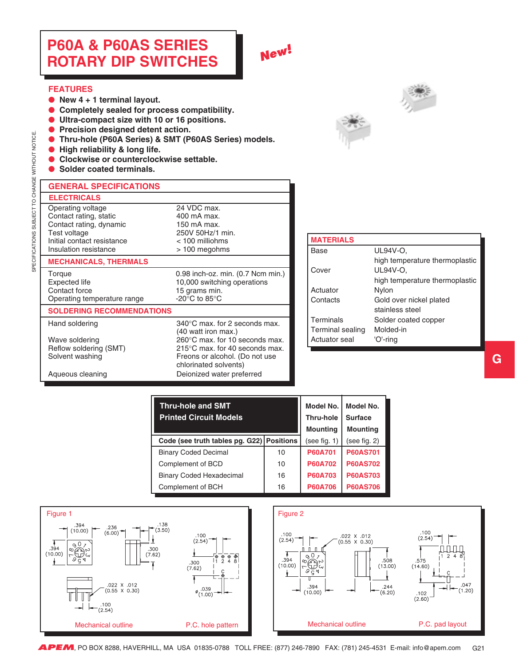## <span id="page-20-0"></span>**P60A & P60AS SERIES ROTARY DIP SWITCHES**

## **New!**

#### **FEATURES**

SPECIFICATIONS SUBJECT TO CHANGE WITHOUT NOTICE.

SPECIFICATIONS SUBJECT TO CHANGE WITHOUT NOTICE

- ● **New 4 + 1 terminal layout.**
- ● **Completely sealed for process compatibility.**
- ● **Ultra-compact size with 10 or 16 positions.**
- ● **Precision designed detent action.**
- ● **Thru-hole (P60A Series) & SMT (P60AS Series) models.**
- ● **High reliability & long life.**
- ● **Clockwise or counterclockwise settable.**
- Solder coated terminals.



| <b>GENERAL SPECIFICATIONS</b>                                                                                                                 |                                                                                                                                          |
|-----------------------------------------------------------------------------------------------------------------------------------------------|------------------------------------------------------------------------------------------------------------------------------------------|
| <b>ELECTRICALS</b>                                                                                                                            |                                                                                                                                          |
| Operating voltage<br>Contact rating, static<br>Contact rating, dynamic<br>Test voltage<br>Initial contact resistance<br>Insulation resistance | 24 VDC max.<br>400 mA max.<br>150 mA max.<br>250V 50Hz/1 min.<br>$<$ 100 milliohms<br>> 100 megohms                                      |
| <b>MECHANICALS, THERMALS</b>                                                                                                                  |                                                                                                                                          |
| Torque<br>Expected life<br>Contact force<br>Operating temperature range                                                                       | 0.98 inch-oz. min. (0.7 Ncm min.)<br>10,000 switching operations<br>15 grams min.<br>-20 $\mathrm{^{\circ}C}$ to 85 $\mathrm{^{\circ}C}$ |
| COLDEDING DECOMMENDATI                                                                                                                        |                                                                                                                                          |

Hand soldering 340°C max. for 2 seconds max.

(40 watt iron max.)

chlorinated solvents)

Freons or alcohol. (Do not use

#### **SOLDERING RECOMMENDATIONS**

Wave soldering 260°C max. for 10 seconds max. Reflow soldering (SMT) 215°C max. for 40 seconds max.<br>
Solvent washing The Consor alcohol. (Do not use

Aqueous cleaning **Deionized water preferred** 

| <b>MATERIALS</b> |                                |
|------------------|--------------------------------|
| Base             | UL94V-O,                       |
|                  | high temperature thermoplastic |
| Cover            | UL94V-O.                       |
|                  | high temperature thermoplastic |
| Actuator         | Nylon                          |
| Contacts         | Gold over nickel plated        |
|                  | stainless steel                |
| Terminals        | Solder coated copper           |
| Terminal sealing | Molded-in                      |
| Actuator seal    | 'O'-ring                       |
|                  |                                |

| <b>Thru-hole and SMT</b><br><b>Printed Circuit Models</b> | Model No. I<br><b>Thru-hole</b><br><b>Mounting</b> | Model No.<br><b>Surface</b><br><b>Mounting</b> |                 |
|-----------------------------------------------------------|----------------------------------------------------|------------------------------------------------|-----------------|
| Code (see truth tables pg. G22) Positions                 |                                                    | (see fig. 1)                                   | (see fig. 2)    |
| <b>Binary Coded Decimal</b>                               | 10                                                 | <b>P60A701</b>                                 | <b>P60AS701</b> |
| Complement of BCD                                         | 10                                                 | <b>P60A702</b>                                 | <b>P60AS702</b> |
| <b>Binary Coded Hexadecimal</b>                           | 16                                                 | <b>P60A703</b>                                 | <b>P60AS703</b> |
| Complement of BCH                                         | 16                                                 | <b>P60A706</b>                                 | <b>P60AS706</b> |

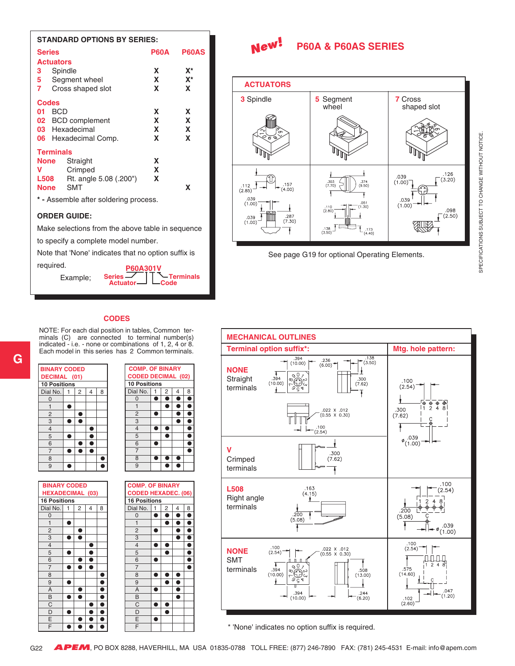| <b>STANDARD OPTIONS BY SERIES:</b>               |             |                |  |  |  |
|--------------------------------------------------|-------------|----------------|--|--|--|
| <b>Series</b>                                    | <b>P60A</b> | <b>P60AS</b>   |  |  |  |
| <b>Actuators</b>                                 |             |                |  |  |  |
| Spindle<br>3                                     | X           | $\mathbf{X}^*$ |  |  |  |
| Segment wheel<br>5                               | X           | $X^*$          |  |  |  |
| 7<br>Cross shaped slot                           | x           | X              |  |  |  |
| <b>Codes</b>                                     |             |                |  |  |  |
| <b>BCD</b><br>01                                 | X           | X              |  |  |  |
| 02 BCD complement                                | X           | X              |  |  |  |
| 03 Hexadecimal                                   | x.          | $\mathbf x$    |  |  |  |
| 06 Hexadecimal Comp.                             | X           | X              |  |  |  |
| <b>Terminals</b>                                 |             |                |  |  |  |
| X<br>Straight<br>None                            |             |                |  |  |  |
| Crimped<br>v                                     | X           |                |  |  |  |
| Rt. angle 5.08 (.200")<br><b>L508</b>            | X           |                |  |  |  |
| <b>SMT</b><br>None<br>x                          |             |                |  |  |  |
| * - Assemble after soldering process.            |             |                |  |  |  |
| <b>ORDER GUIDE:</b>                              |             |                |  |  |  |
| Make selections from the above table in sequence |             |                |  |  |  |
| to specify a complete model number.              |             |                |  |  |  |

Note that 'None' indicates that no option suffix is

required.

Example;

**P60A301V Actuator Terminals Code Series**

#### **P60A & P60AS SERIES New!**



See page G19 for optional Operating Elements.

#### **CODES**

NOTE: For each dial position in tables, Common terminals (C) are connected to terminal number(s) indicated - i.e. - none or combinations of 1, 2, 4 or 8. Each model in this series has 2 Common terminals.





 **COMP. OF BINARY CODED DECIMAL (02) 10 Positions** Dial No.  $1 \mid 2 \mid 4 \mid 8$  $\begin{array}{c|c|c|c|c|c|c|c|c} \hline 0 & \bullet & \bullet & \bullet & \bullet \\ \hline 1 & \bullet & \bullet & \bullet & \bullet \end{array}$ |<br>| **e**<br>| e 2  $\bullet$   $\bullet$  $3$   $\blacksquare$   $\blacksquare$ 4 ●● ● 5 **| | ●** | | ●  $\begin{array}{|c|c|c|c|}\n\hline\n6 & \bullet & \bullet \\
\hline\n7 & & \bullet\n\end{array}$ 7 | | | | ● 8  $\bullet\bullet\bullet$  $9$  00





\* 'None' indicates no option suffix is required.

SPECIFICATIONS SUBJECT TO CHANGE WITHOUT NOTICE. SPECIFICATIONS SUBJECT TO CHANGE WITHOUT NOTICE.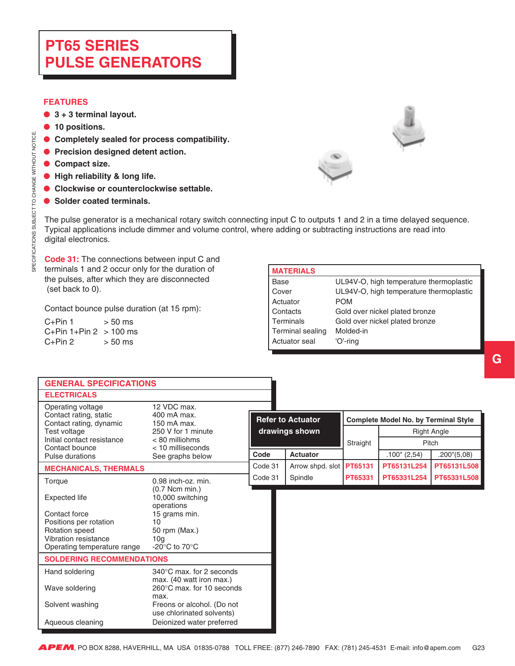## <span id="page-22-0"></span>**PT65 SERIES PULSE GENERATORS**

#### **FEATURES**

- ● **3 + 3 terminal layout.**
- ● **10 positions.**
- ● **Completely sealed for process compatibility.**
- ● **Precision designed detent action.**
- ● **Compact size.**

SPECIFICATIONS SUBJECT TO CHANGE WITHOUT NOTICE.

SPECIFICATIONS SUBJECT TO CHANGE WITHOUT NOTICE

- ● **High reliability & long life.**
- ● **Clockwise or counterclockwise settable.**
- **Solder coated terminals.**



The pulse generator is a mechanical rotary switch connecting input C to outputs 1 and 2 in a time delayed sequence. Typical applications include dimmer and volume control, where adding or subtracting instructions are read into digital electronics.

**Code 31:** The connections between input C and terminals 1 and 2 occur only for the duration of the pulses, after which they are disconnected (set back to 0).

Contact bounce pulse duration (at 15 rpm):

| $C+Pin$ 1                | $> 50$ ms |
|--------------------------|-----------|
| $C+Pin 1+Pin 2 > 100$ ms |           |
| $C+Pin 2$                | $> 50$ ms |

| <b>MATERIALS</b>        |                                         |
|-------------------------|-----------------------------------------|
| Base                    | UL94V-O, high temperature thermoplastic |
| Cover                   | UL94V-O, high temperature thermoplastic |
| Actuator                | POM                                     |
| Contacts                | Gold over nickel plated bronze          |
| Terminals               | Gold over nickel plated bronze          |
| <b>Terminal sealing</b> | Molded-in                               |
| Actuator seal           | 'O'-ring                                |

| <b>GENERAL SPECIFICATIONS</b>                                          |                                                                 |         |                                            |          |                                             |                             |
|------------------------------------------------------------------------|-----------------------------------------------------------------|---------|--------------------------------------------|----------|---------------------------------------------|-----------------------------|
| <b>ELECTRICALS</b>                                                     |                                                                 |         |                                            |          |                                             |                             |
| Operating voltage<br>Contact rating, static<br>Contact rating, dynamic | 12 VDC max.<br>400 mA max.<br>150 mA max.<br>250 V for 1 minute |         | <b>Refer to Actuator</b><br>drawings shown |          | <b>Complete Model No. by Terminal Style</b> |                             |
| Test voltage<br>Initial contact resistance                             | < 80 milliohms                                                  |         |                                            | Straight |                                             | <b>Right Angle</b><br>Pitch |
| Contact bounce<br>Pulse durations                                      | $<$ 10 milliseconds<br>See graphs below                         | Code    | Actuator                                   |          | $.100$ " (2,54)                             | $.200^{\circ}$ (5,08)       |
| <b>MECHANICALS, THERMALS</b>                                           |                                                                 | Code 31 | Arrow shpd. slot                           | PT65131  | PT65131L254                                 | PT65131L508                 |
| Torque                                                                 | 0.98 inch-oz. min.                                              | Code 31 | Spindle                                    | PT65331  | PT65331L254                                 | PT65331L508                 |
| <b>Expected life</b>                                                   | $(0.7$ Ncm min.)<br>10,000 switching<br>operations              |         |                                            |          |                                             |                             |
| Contact force                                                          | 15 grams min.                                                   |         |                                            |          |                                             |                             |
| Positions per rotation<br>Rotation speed                               | 10<br>50 rpm (Max.)                                             |         |                                            |          |                                             |                             |
| Vibration resistance<br>Operating temperature range                    | 10 <sub>q</sub><br>-20 $^{\circ}$ C to 70 $^{\circ}$ C          |         |                                            |          |                                             |                             |
| <b>SOLDERING RECOMMENDATIONS</b>                                       |                                                                 |         |                                            |          |                                             |                             |
| Hand soldering                                                         | $340^{\circ}$ C max, for 2 seconds                              |         |                                            |          |                                             |                             |
| Wave soldering                                                         | max. (40 watt iron max.)<br>260°C max, for 10 seconds<br>max.   |         |                                            |          |                                             |                             |
| Solvent washing                                                        | Freons or alcohol. (Do not<br>use chlorinated solvents)         |         |                                            |          |                                             |                             |
| Aqueous cleaning                                                       | Deionized water preferred                                       |         |                                            |          |                                             |                             |